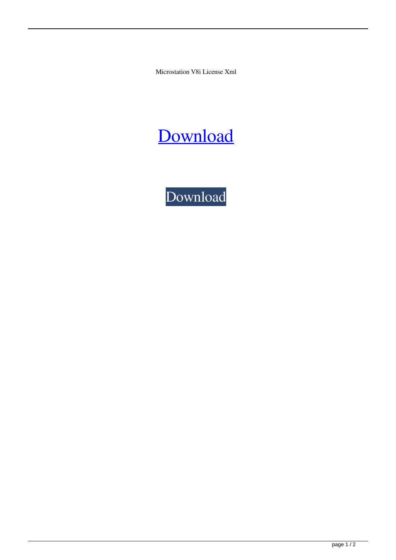Microstation V8i License Xml

## [Download](http://evacdir.com/dundee.finastreride.ZG93bmxvYWR8ZnY4TW1jNGFIeDhNVFkxTWpjME1EZzJObng4TWpVM05IeDhLRTBwSUhKbFlXUXRZbXh2WnlCYlJtRnpkQ0JIUlU1ZA?gangsterism=bWljcm9zdGF0aW9uIHY4aSBsaWNlbnNlIHhtbAbWl&gull=vegetated&johanssen=meister)